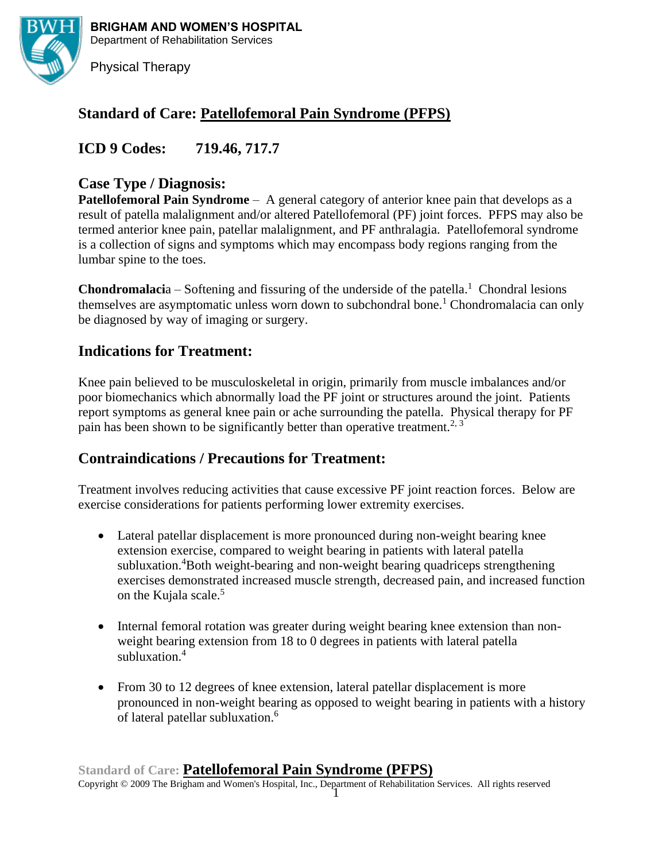

**BRIGHAM AND WOMEN'S HOSPITAL** Department of Rehabilitation Services

Physical Therapy

# **Standard of Care: Patellofemoral Pain Syndrome (PFPS)**

**ICD 9 Codes: 719.46, 717.7**

# **Case Type / Diagnosis:**

**Patellofemoral Pain Syndrome** – A general category of anterior knee pain that develops as a result of patella malalignment and/or altered Patellofemoral (PF) joint forces. PFPS may also be termed anterior knee pain, patellar malalignment, and PF anthralagia. Patellofemoral syndrome is a collection of signs and symptoms which may encompass body regions ranging from the lumbar spine to the toes.

**Chondromalaci**a – Softening and fissuring of the underside of the patella.<sup>1</sup> Chondral lesions themselves are asymptomatic unless worn down to subchondral bone.<sup>1</sup> Chondromalacia can only be diagnosed by way of imaging or surgery.

# **Indications for Treatment:**

Knee pain believed to be musculoskeletal in origin, primarily from muscle imbalances and/or poor biomechanics which abnormally load the PF joint or structures around the joint. Patients report symptoms as general knee pain or ache surrounding the patella. Physical therapy for PF pain has been shown to be significantly better than operative treatment.<sup>2, 3</sup>

# **Contraindications / Precautions for Treatment:**

Treatment involves reducing activities that cause excessive PF joint reaction forces. Below are exercise considerations for patients performing lower extremity exercises.

- Lateral patellar displacement is more pronounced during non-weight bearing knee extension exercise, compared to weight bearing in patients with lateral patella subluxation.<sup>4</sup>Both weight-bearing and non-weight bearing quadriceps strengthening exercises demonstrated increased muscle strength, decreased pain, and increased function on the Kujala scale.<sup>5</sup>
- Internal femoral rotation was greater during weight bearing knee extension than nonweight bearing extension from 18 to 0 degrees in patients with lateral patella subluxation.<sup>4</sup>
- From 30 to 12 degrees of knee extension, lateral patellar displacement is more pronounced in non-weight bearing as opposed to weight bearing in patients with a history of lateral patellar subluxation.<sup>6</sup>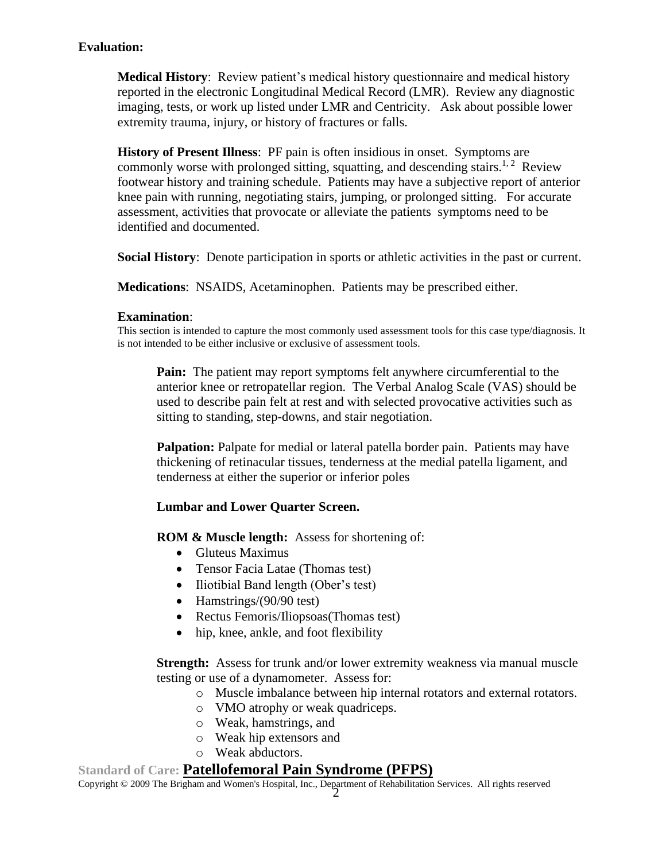## **Evaluation:**

**Medical History**: Review patient's medical history questionnaire and medical history reported in the electronic Longitudinal Medical Record (LMR). Review any diagnostic imaging, tests, or work up listed under LMR and Centricity. Ask about possible lower extremity trauma, injury, or history of fractures or falls.

**History of Present Illness**: PF pain is often insidious in onset. Symptoms are commonly worse with prolonged sitting, squatting, and descending stairs.<sup>1, 2</sup> Review footwear history and training schedule. Patients may have a subjective report of anterior knee pain with running, negotiating stairs, jumping, or prolonged sitting. For accurate assessment, activities that provocate or alleviate the patients symptoms need to be identified and documented.

**Social History**: Denote participation in sports or athletic activities in the past or current.

**Medications**: NSAIDS, Acetaminophen. Patients may be prescribed either.

### **Examination**:

This section is intended to capture the most commonly used assessment tools for this case type/diagnosis. It is not intended to be either inclusive or exclusive of assessment tools.

**Pain:** The patient may report symptoms felt anywhere circumferential to the anterior knee or retropatellar region. The Verbal Analog Scale (VAS) should be used to describe pain felt at rest and with selected provocative activities such as sitting to standing, step-downs, and stair negotiation.

**Palpation:** Palpate for medial or lateral patella border pain. Patients may have thickening of retinacular tissues, tenderness at the medial patella ligament, and tenderness at either the superior or inferior poles

### **Lumbar and Lower Quarter Screen.**

**ROM & Muscle length:** Assess for shortening of:

- Gluteus Maximus
- Tensor Facia Latae (Thomas test)
- Iliotibial Band length (Ober's test)
- Hamstrings/(90/90 test)
- Rectus Femoris/Iliopsoas (Thomas test)
- hip, knee, ankle, and foot flexibility

**Strength:** Assess for trunk and/or lower extremity weakness via manual muscle testing or use of a dynamometer. Assess for:

- o Muscle imbalance between hip internal rotators and external rotators.
- o VMO atrophy or weak quadriceps.
- o Weak, hamstrings, and
- o Weak hip extensors and
- o Weak abductors.

### **Standard of Care: Patellofemoral Pain Syndrome (PFPS)**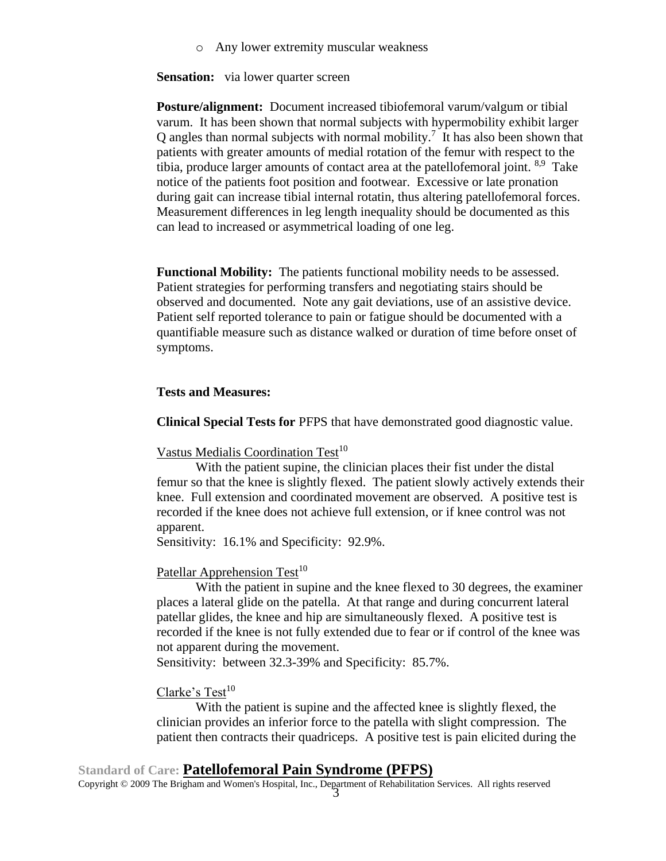o Any lower extremity muscular weakness

**Sensation:** via lower quarter screen

**Posture/alignment:** Document increased tibiofemoral varum/valgum or tibial varum. It has been shown that normal subjects with hypermobility exhibit larger Q angles than normal subjects with normal mobility.<sup>7</sup> It has also been shown that patients with greater amounts of medial rotation of the femur with respect to the tibia, produce larger amounts of contact area at the patellofemoral joint. <sup>8,9</sup> Take notice of the patients foot position and footwear. Excessive or late pronation during gait can increase tibial internal rotatin, thus altering patellofemoral forces. Measurement differences in leg length inequality should be documented as this can lead to increased or asymmetrical loading of one leg.

**Functional Mobility:** The patients functional mobility needs to be assessed. Patient strategies for performing transfers and negotiating stairs should be observed and documented. Note any gait deviations, use of an assistive device. Patient self reported tolerance to pain or fatigue should be documented with a quantifiable measure such as distance walked or duration of time before onset of symptoms.

#### **Tests and Measures:**

**Clinical Special Tests for** PFPS that have demonstrated good diagnostic value.

#### Vastus Medialis Coordination Test<sup>10</sup>

With the patient supine, the clinician places their fist under the distal femur so that the knee is slightly flexed. The patient slowly actively extends their knee. Full extension and coordinated movement are observed. A positive test is recorded if the knee does not achieve full extension, or if knee control was not apparent.

Sensitivity: 16.1% and Specificity: 92.9%.

#### Patellar Apprehension Test<sup>10</sup>

With the patient in supine and the knee flexed to 30 degrees, the examiner places a lateral glide on the patella. At that range and during concurrent lateral patellar glides, the knee and hip are simultaneously flexed. A positive test is recorded if the knee is not fully extended due to fear or if control of the knee was not apparent during the movement.

Sensitivity: between 32.3-39% and Specificity: 85.7%.

## Clarke's Test<sup>10</sup>

With the patient is supine and the affected knee is slightly flexed, the clinician provides an inferior force to the patella with slight compression. The patient then contracts their quadriceps. A positive test is pain elicited during the

## **Standard of Care: Patellofemoral Pain Syndrome (PFPS)**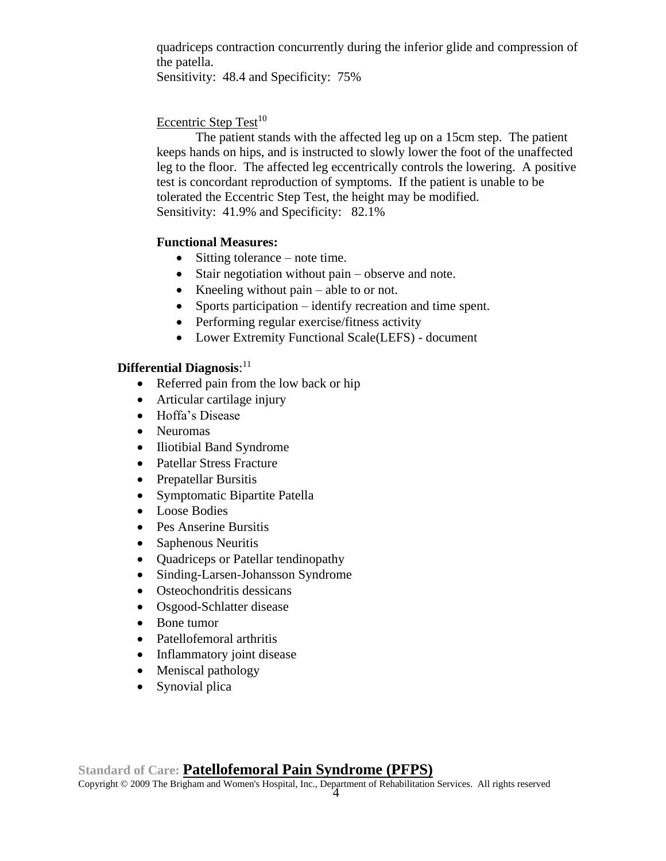quadriceps contraction concurrently during the inferior glide and compression of the patella.

Sensitivity: 48.4 and Specificity: 75%

## Eccentric Step Test<sup>10</sup>

The patient stands with the affected leg up on a 15cm step. The patient keeps hands on hips, and is instructed to slowly lower the foot of the unaffected leg to the floor. The affected leg eccentrically controls the lowering. A positive test is concordant reproduction of symptoms. If the patient is unable to be tolerated the Eccentric Step Test, the height may be modified. Sensitivity: 41.9% and Specificity: 82.1%

## **Functional Measures:**

- Sitting tolerance note time.
- Stair negotiation without pain observe and note.
- Kneeling without pain able to or not.
- Sports participation identify recreation and time spent.
- Performing regular exercise/fitness activity
- Lower Extremity Functional Scale(LEFS) document

## **Differential Diagnosis**: 11

- Referred pain from the low back or hip
- Articular cartilage injury
- Hoffa's Disease
- Neuromas
- Iliotibial Band Syndrome
- Patellar Stress Fracture
- Prepatellar Bursitis
- Symptomatic Bipartite Patella
- Loose Bodies
- Pes Anserine Bursitis
- Saphenous Neuritis
- Quadriceps or Patellar tendinopathy
- Sinding-Larsen-Johansson Syndrome
- Osteochondritis dessicans
- Osgood-Schlatter disease
- Bone tumor
- Patellofemoral arthritis
- Inflammatory joint disease
- Meniscal pathology
- Synovial plica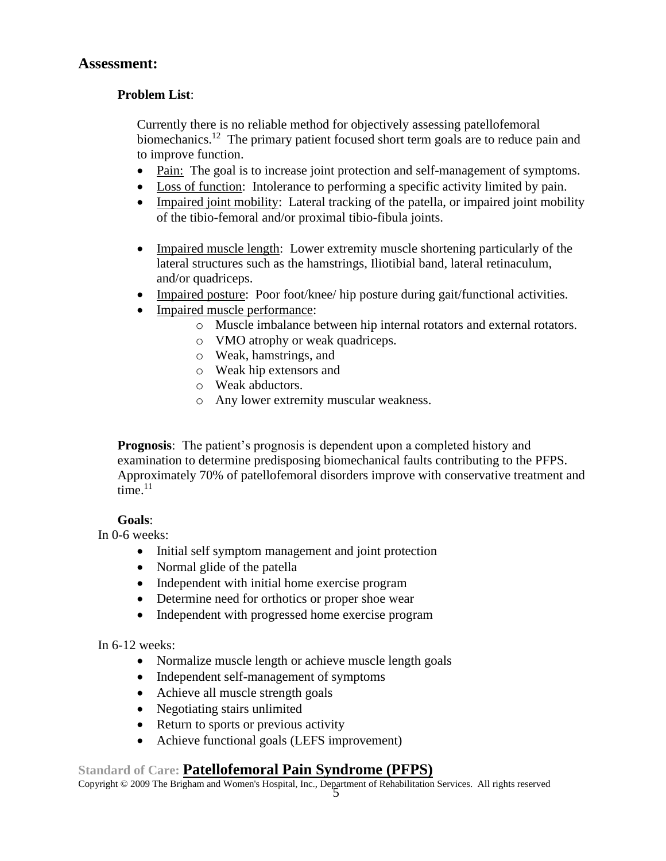## **Assessment:**

## **Problem List**:

Currently there is no reliable method for objectively assessing patellofemoral biomechanics.<sup>12</sup> The primary patient focused short term goals are to reduce pain and to improve function.

- Pain: The goal is to increase joint protection and self-management of symptoms.
- Loss of function: Intolerance to performing a specific activity limited by pain.
- Impaired joint mobility: Lateral tracking of the patella, or impaired joint mobility of the tibio-femoral and/or proximal tibio-fibula joints.
- Impaired muscle length: Lower extremity muscle shortening particularly of the lateral structures such as the hamstrings, Iliotibial band, lateral retinaculum, and/or quadriceps.
- Impaired posture: Poor foot/knee/ hip posture during gait/functional activities.
- Impaired muscle performance:
	- o Muscle imbalance between hip internal rotators and external rotators.
	- o VMO atrophy or weak quadriceps.
	- o Weak, hamstrings, and
	- o Weak hip extensors and
	- o Weak abductors.
	- o Any lower extremity muscular weakness.

**Prognosis**: The patient's prognosis is dependent upon a completed history and examination to determine predisposing biomechanical faults contributing to the PFPS. Approximately 70% of patellofemoral disorders improve with conservative treatment and time. $11$ 

## **Goals**:

In 0-6 weeks:

- Initial self symptom management and joint protection
- Normal glide of the patella
- Independent with initial home exercise program
- Determine need for orthotics or proper shoe wear
- Independent with progressed home exercise program

### In 6-12 weeks:

- Normalize muscle length or achieve muscle length goals
- Independent self-management of symptoms
- Achieve all muscle strength goals
- Negotiating stairs unlimited
- Return to sports or previous activity
- Achieve functional goals (LEFS improvement)

## **Standard of Care: Patellofemoral Pain Syndrome (PFPS)**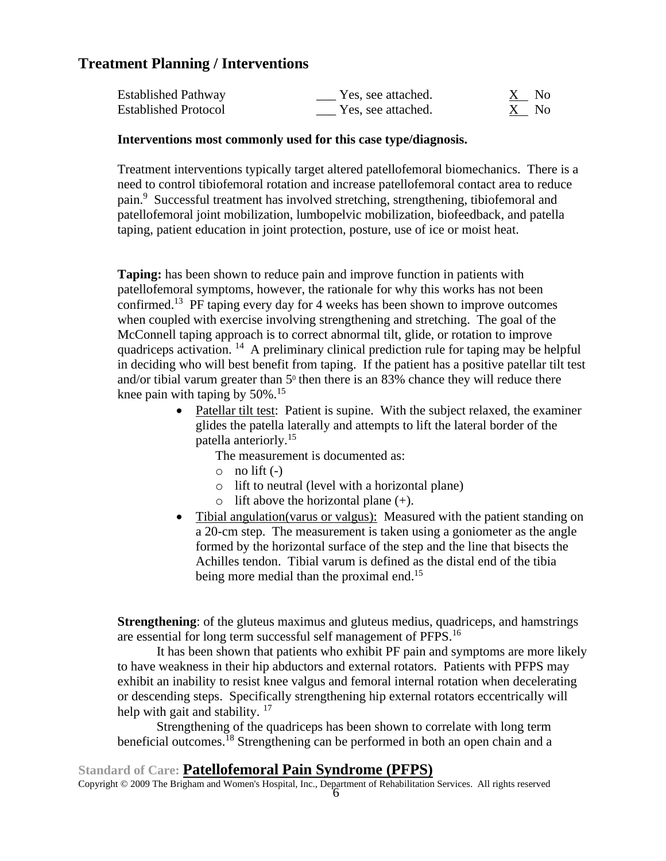# **Treatment Planning / Interventions**

| <b>Established Pathway</b>  | Yes, see attached. | - No |
|-----------------------------|--------------------|------|
| <b>Established Protocol</b> | Yes, see attached. | X No |

### **Interventions most commonly used for this case type/diagnosis.**

Treatment interventions typically target altered patellofemoral biomechanics. There is a need to control tibiofemoral rotation and increase patellofemoral contact area to reduce pain.<sup>9</sup> Successful treatment has involved stretching, strengthening, tibiofemoral and patellofemoral joint mobilization, lumbopelvic mobilization, biofeedback, and patella taping, patient education in joint protection, posture, use of ice or moist heat.

**Taping:** has been shown to reduce pain and improve function in patients with patellofemoral symptoms, however, the rationale for why this works has not been confirmed.<sup>13</sup> PF taping every day for 4 weeks has been shown to improve outcomes when coupled with exercise involving strengthening and stretching. The goal of the McConnell taping approach is to correct abnormal tilt, glide, or rotation to improve quadriceps activation.<sup>14</sup> A preliminary clinical prediction rule for taping may be helpful in deciding who will best benefit from taping. If the patient has a positive patellar tilt test and/or tibial varum greater than  $5^{\circ}$  then there is an 83% chance they will reduce there knee pain with taping by  $50\%$ .<sup>15</sup>

> • Patellar tilt test: Patient is supine. With the subject relaxed, the examiner glides the patella laterally and attempts to lift the lateral border of the patella anteriorly.<sup>15</sup>

The measurement is documented as:

- $\circ$  no lift  $(-)$
- o lift to neutral (level with a horizontal plane)
- $\circ$  lift above the horizontal plane (+).
- Tibial angulation(varus or valgus): Measured with the patient standing on a 20-cm step. The measurement is taken using a goniometer as the angle formed by the horizontal surface of the step and the line that bisects the Achilles tendon. Tibial varum is defined as the distal end of the tibia being more medial than the proximal end.<sup>15</sup>

**Strengthening**: of the gluteus maximus and gluteus medius, quadriceps, and hamstrings are essential for long term successful self management of PFPS.<sup>16</sup>

It has been shown that patients who exhibit PF pain and symptoms are more likely to have weakness in their hip abductors and external rotators. Patients with PFPS may exhibit an inability to resist knee valgus and femoral internal rotation when decelerating or descending steps. Specifically strengthening hip external rotators eccentrically will help with gait and stability.  $17$ 

Strengthening of the quadriceps has been shown to correlate with long term beneficial outcomes.<sup>18</sup> Strengthening can be performed in both an open chain and a

## **Standard of Care: Patellofemoral Pain Syndrome (PFPS)**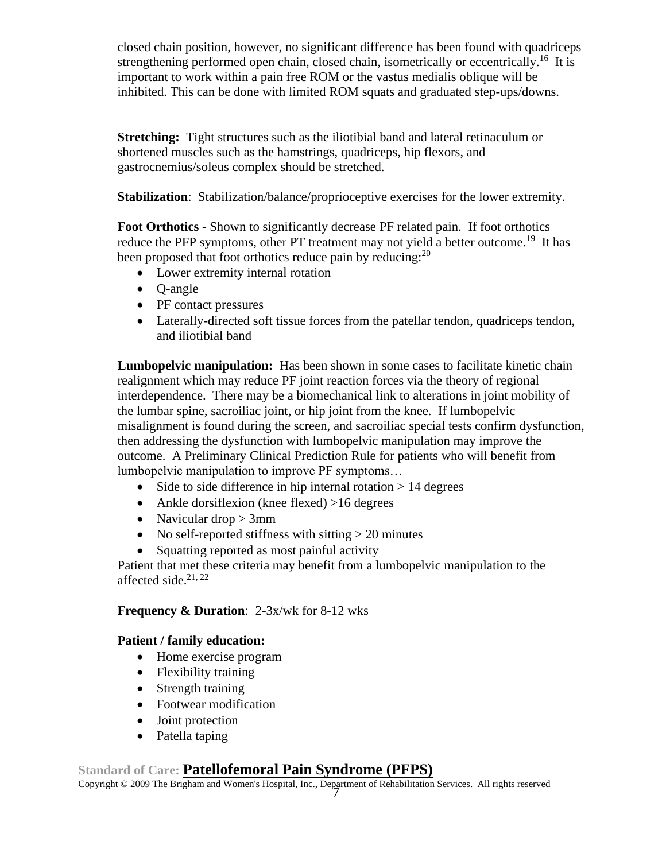closed chain position, however, no significant difference has been found with quadriceps strengthening performed open chain, closed chain, isometrically or eccentrically.<sup>16</sup> It is important to work within a pain free ROM or the vastus medialis oblique will be inhibited. This can be done with limited ROM squats and graduated step-ups/downs.

**Stretching:** Tight structures such as the iliotibial band and lateral retinaculum or shortened muscles such as the hamstrings, quadriceps, hip flexors, and gastrocnemius/soleus complex should be stretched.

**Stabilization**: Stabilization/balance/proprioceptive exercises for the lower extremity.

**Foot Orthotics** - Shown to significantly decrease PF related pain. If foot orthotics reduce the PFP symptoms, other PT treatment may not yield a better outcome.<sup>19</sup> It has been proposed that foot orthotics reduce pain by reducing:<sup>20</sup>

- Lower extremity internal rotation
- Q-angle
- PF contact pressures
- Laterally-directed soft tissue forces from the patellar tendon, quadriceps tendon, and iliotibial band

**Lumbopelvic manipulation:** Has been shown in some cases to facilitate kinetic chain realignment which may reduce PF joint reaction forces via the theory of regional interdependence. There may be a biomechanical link to alterations in joint mobility of the lumbar spine, sacroiliac joint, or hip joint from the knee. If lumbopelvic misalignment is found during the screen, and sacroiliac special tests confirm dysfunction, then addressing the dysfunction with lumbopelvic manipulation may improve the outcome. A Preliminary Clinical Prediction Rule for patients who will benefit from lumbopelvic manipulation to improve PF symptoms…

- Side to side difference in hip internal rotation  $> 14$  degrees
- Ankle dorsiflexion (knee flexed) >16 degrees
- Navicular drop  $> 3$ mm
- No self-reported stiffness with sitting  $> 20$  minutes
- Squatting reported as most painful activity

Patient that met these criteria may benefit from a lumbopelvic manipulation to the affected side. $21, 22$ 

## **Frequency & Duration**: 2-3x/wk for 8-12 wks

## **Patient / family education:**

- Home exercise program
- Flexibility training
- Strength training
- Footwear modification
- Joint protection
- Patella taping

# **Standard of Care: Patellofemoral Pain Syndrome (PFPS)**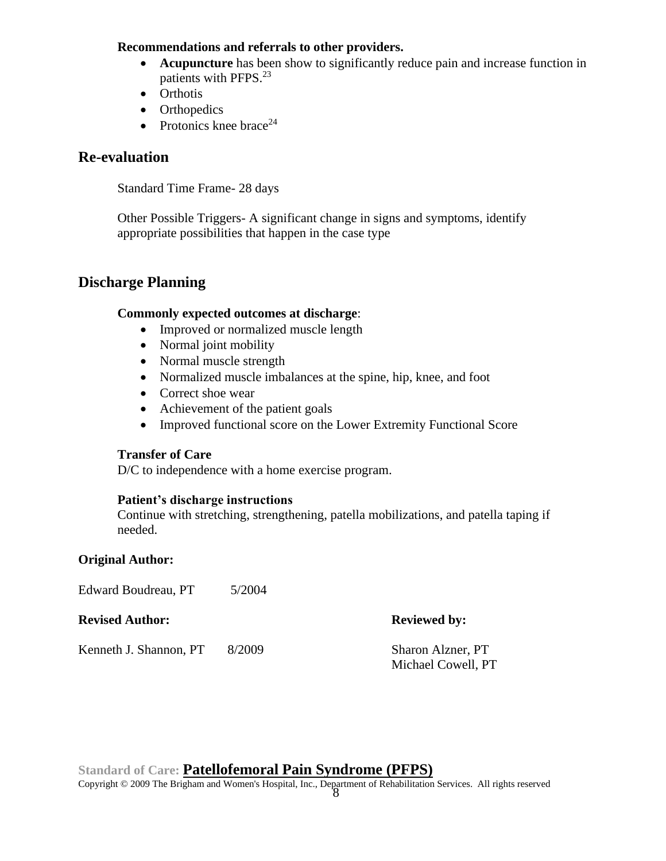### **Recommendations and referrals to other providers.**

- **Acupuncture** has been show to significantly reduce pain and increase function in patients with PFPS.<sup>23</sup>
- Orthotis
- Orthopedics
- Protonics knee brace<sup>24</sup>

# **Re-evaluation**

Standard Time Frame- 28 days

Other Possible Triggers- A significant change in signs and symptoms, identify appropriate possibilities that happen in the case type

# **Discharge Planning**

## **Commonly expected outcomes at discharge**:

- Improved or normalized muscle length
- Normal joint mobility
- Normal muscle strength
- Normalized muscle imbalances at the spine, hip, knee, and foot
- Correct shoe wear
- Achievement of the patient goals
- Improved functional score on the Lower Extremity Functional Score

### **Transfer of Care**

D/C to independence with a home exercise program.

### **Patient's discharge instructions**

Continue with stretching, strengthening, patella mobilizations, and patella taping if needed.

### **Original Author:**

Edward Boudreau, PT 5/2004

**Revised Author: Reviewed by:** 

Kenneth J. Shannon, PT 8/2009 Sharon Alzner, PT

Michael Cowell, PT

**Standard of Care: Patellofemoral Pain Syndrome (PFPS)** Copyright © 2009 The Brigham and Women's Hospital, Inc., Department of Rehabilitation Services. All rights reserved 8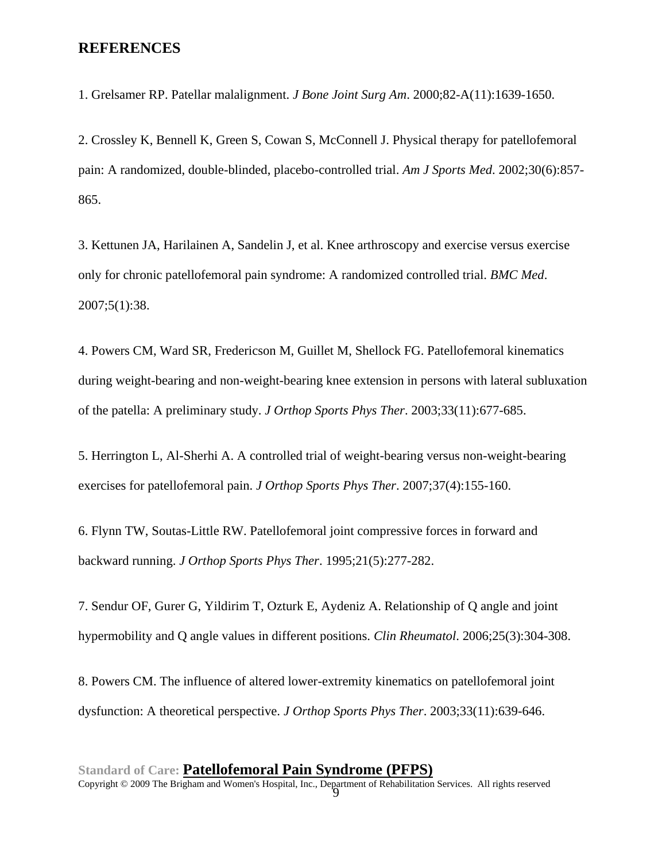## **REFERENCES**

1. Grelsamer RP. Patellar malalignment. *J Bone Joint Surg Am*. 2000;82-A(11):1639-1650.

2. Crossley K, Bennell K, Green S, Cowan S, McConnell J. Physical therapy for patellofemoral pain: A randomized, double-blinded, placebo-controlled trial. *Am J Sports Med*. 2002;30(6):857- 865.

3. Kettunen JA, Harilainen A, Sandelin J, et al. Knee arthroscopy and exercise versus exercise only for chronic patellofemoral pain syndrome: A randomized controlled trial. *BMC Med*. 2007;5(1):38.

4. Powers CM, Ward SR, Fredericson M, Guillet M, Shellock FG. Patellofemoral kinematics during weight-bearing and non-weight-bearing knee extension in persons with lateral subluxation of the patella: A preliminary study. *J Orthop Sports Phys Ther*. 2003;33(11):677-685.

5. Herrington L, Al-Sherhi A. A controlled trial of weight-bearing versus non-weight-bearing exercises for patellofemoral pain. *J Orthop Sports Phys Ther*. 2007;37(4):155-160.

6. Flynn TW, Soutas-Little RW. Patellofemoral joint compressive forces in forward and backward running. *J Orthop Sports Phys Ther*. 1995;21(5):277-282.

7. Sendur OF, Gurer G, Yildirim T, Ozturk E, Aydeniz A. Relationship of Q angle and joint hypermobility and Q angle values in different positions. *Clin Rheumatol*. 2006;25(3):304-308.

8. Powers CM. The influence of altered lower-extremity kinematics on patellofemoral joint dysfunction: A theoretical perspective. *J Orthop Sports Phys Ther*. 2003;33(11):639-646.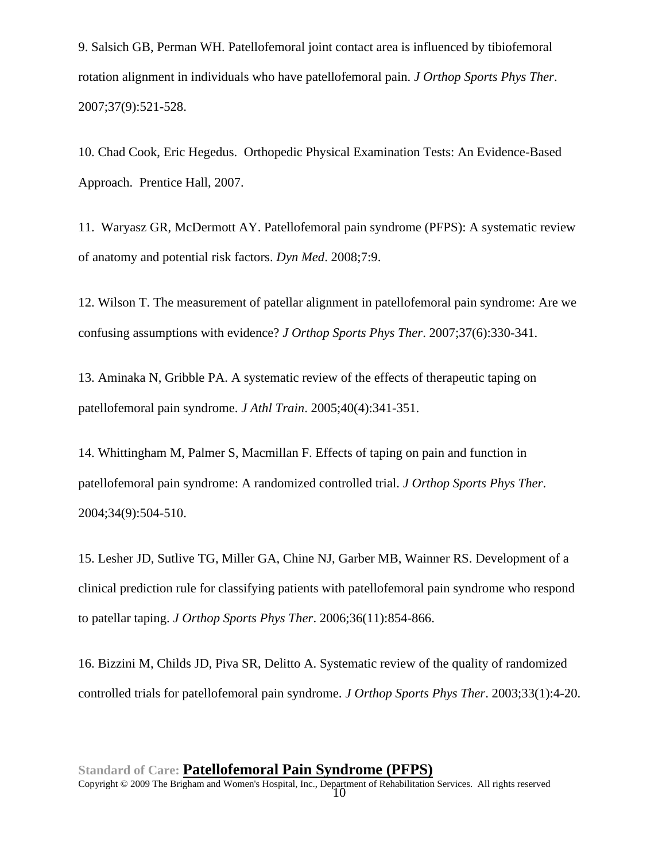9. Salsich GB, Perman WH. Patellofemoral joint contact area is influenced by tibiofemoral rotation alignment in individuals who have patellofemoral pain. *J Orthop Sports Phys Ther*. 2007;37(9):521-528.

10. Chad Cook, Eric Hegedus. Orthopedic Physical Examination Tests: An Evidence-Based Approach. Prentice Hall, 2007.

11. Waryasz GR, McDermott AY. Patellofemoral pain syndrome (PFPS): A systematic review of anatomy and potential risk factors. *Dyn Med*. 2008;7:9.

12. Wilson T. The measurement of patellar alignment in patellofemoral pain syndrome: Are we confusing assumptions with evidence? *J Orthop Sports Phys Ther*. 2007;37(6):330-341.

13. Aminaka N, Gribble PA. A systematic review of the effects of therapeutic taping on patellofemoral pain syndrome. *J Athl Train*. 2005;40(4):341-351.

14. Whittingham M, Palmer S, Macmillan F. Effects of taping on pain and function in patellofemoral pain syndrome: A randomized controlled trial. *J Orthop Sports Phys Ther*. 2004;34(9):504-510.

15. Lesher JD, Sutlive TG, Miller GA, Chine NJ, Garber MB, Wainner RS. Development of a clinical prediction rule for classifying patients with patellofemoral pain syndrome who respond to patellar taping. *J Orthop Sports Phys Ther*. 2006;36(11):854-866.

16. Bizzini M, Childs JD, Piva SR, Delitto A. Systematic review of the quality of randomized controlled trials for patellofemoral pain syndrome. *J Orthop Sports Phys Ther*. 2003;33(1):4-20.